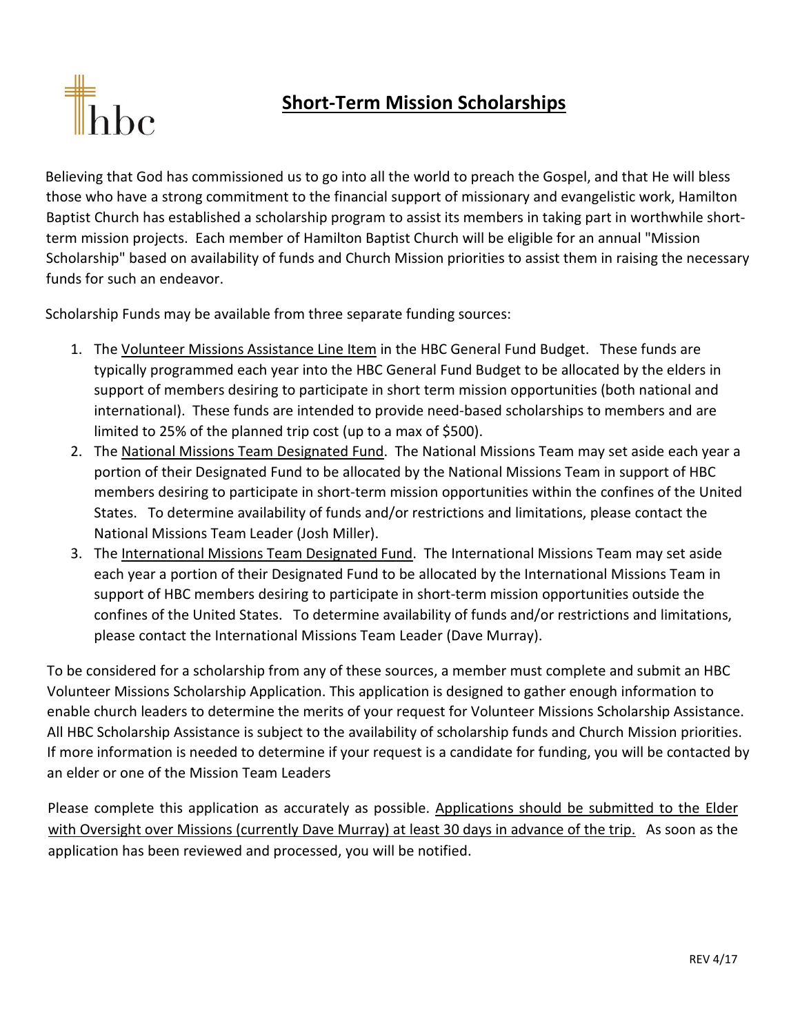## Short-Term Mission Scholarships



Believing that God has commissioned us to go into all the world to preach the Gospel, and that He will bless those who have a strong commitment to the financial support of missionary and evangelistic work, Hamilton Baptist Church has established a scholarship program to assist its members in taking part in worthwhile shortterm mission projects. Each member of Hamilton Baptist Church will be eligible for an annual "Mission Scholarship" based on availability of funds and Church Mission priorities to assist them in raising the necessary funds for such an endeavor.

Scholarship Funds may be available from three separate funding sources:

- 1. The Volunteer Missions Assistance Line Item in the HBC General Fund Budget. These funds are typically programmed each year into the HBC General Fund Budget to be allocated by the elders in support of members desiring to participate in short term mission opportunities (both national and international). These funds are intended to provide need-based scholarships to members and are limited to 25% of the planned trip cost (up to a max of \$500).
- 2. The National Missions Team Designated Fund. The National Missions Team may set aside each year a portion of their Designated Fund to be allocated by the National Missions Team in support of HBC members desiring to participate in short-term mission opportunities within the confines of the United States. To determine availability of funds and/or restrictions and limitations, please contact the National Missions Team Leader (Josh Miller).
- 3. The International Missions Team Designated Fund. The International Missions Team may set aside each year a portion of their Designated Fund to be allocated by the International Missions Team in support of HBC members desiring to participate in short-term mission opportunities outside the confines of the United States. To determine availability of funds and/or restrictions and limitations, please contact the International Missions Team Leader (Dave Murray).

To be considered for a scholarship from any of these sources, a member must complete and submit an HBC Volunteer Missions Scholarship Application. This application is designed to gather enough information to enable church leaders to determine the merits of your request for Volunteer Missions Scholarship Assistance. All HBC Scholarship Assistance is subject to the availability of scholarship funds and Church Mission priorities. If more information is needed to determine if your request is a candidate for funding, you will be contacted by an elder or one of the Mission Team Leaders

Please complete this application as accurately as possible. Applications should be submitted to the Elder with Oversight over Missions (currently Dave Murray) at least 30 days in advance of the trip. As soon as the application has been reviewed and processed, you will be notified.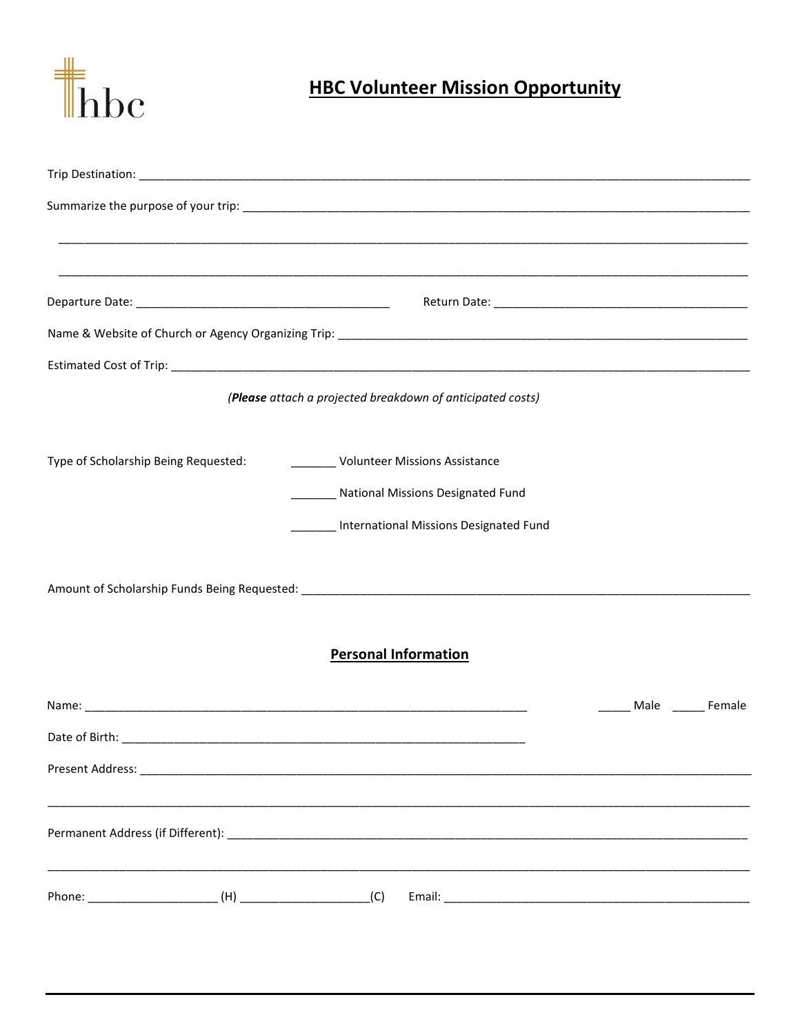

## **HBC Volunteer Mission Opportunity**

|                                      | ( <b>Please</b> attach a projected breakdown of anticipated costs)                                                  |             |  |
|--------------------------------------|---------------------------------------------------------------------------------------------------------------------|-------------|--|
| Type of Scholarship Being Requested: | Volunteer Missions Assistance                                                                                       |             |  |
|                                      | National Missions Designated Fund                                                                                   |             |  |
|                                      | International Missions Designated Fund                                                                              |             |  |
|                                      |                                                                                                                     |             |  |
|                                      |                                                                                                                     |             |  |
|                                      |                                                                                                                     |             |  |
|                                      | <b>Personal Information</b>                                                                                         |             |  |
|                                      |                                                                                                                     | Male Female |  |
| Date of Birth:                       |                                                                                                                     |             |  |
|                                      |                                                                                                                     |             |  |
|                                      | <u> 1989 - John Stone, Amerikaans en Stone (overleden 1989) en de Fryske kalender (overleden 1989) en de Fryske</u> |             |  |
|                                      |                                                                                                                     |             |  |
|                                      |                                                                                                                     |             |  |
|                                      |                                                                                                                     |             |  |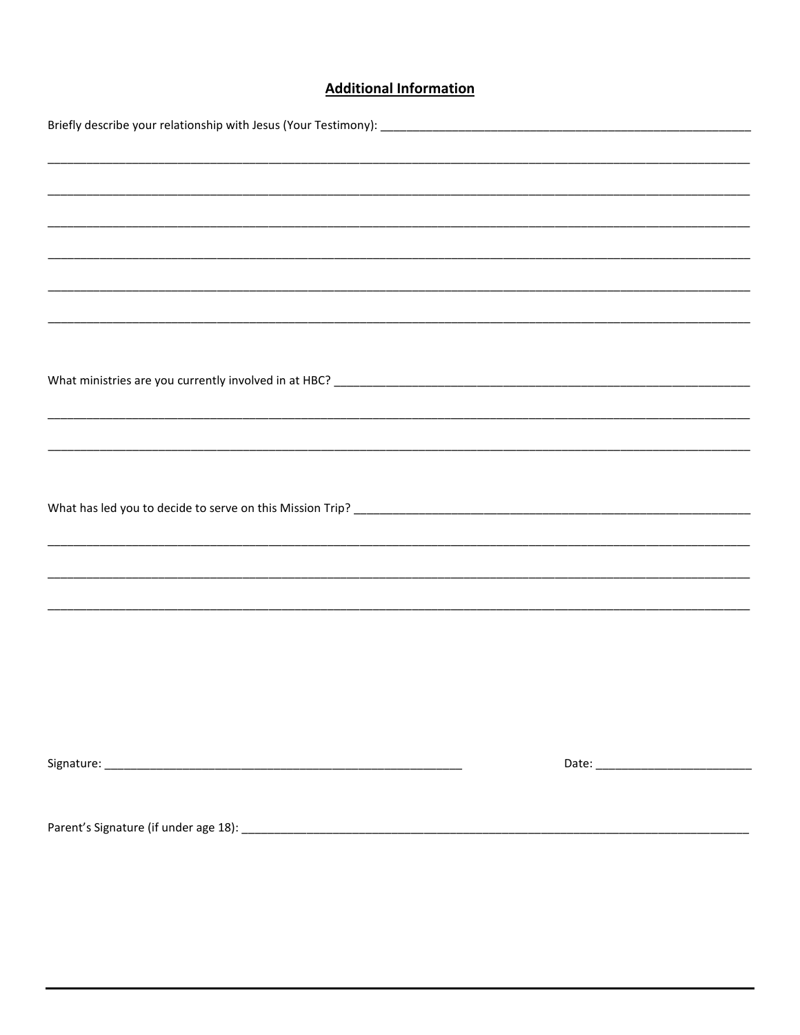## **Additional Information**

| <u> 1989 - Johann Stoff, deutscher Stoff, der Stoff, der Stoff, der Stoff, der Stoff, der Stoff, der Stoff, der S</u> |  |
|-----------------------------------------------------------------------------------------------------------------------|--|
|                                                                                                                       |  |
|                                                                                                                       |  |
|                                                                                                                       |  |
|                                                                                                                       |  |
|                                                                                                                       |  |
|                                                                                                                       |  |
|                                                                                                                       |  |
|                                                                                                                       |  |
|                                                                                                                       |  |
|                                                                                                                       |  |
|                                                                                                                       |  |
|                                                                                                                       |  |
|                                                                                                                       |  |
|                                                                                                                       |  |
|                                                                                                                       |  |
|                                                                                                                       |  |
|                                                                                                                       |  |
|                                                                                                                       |  |
|                                                                                                                       |  |
|                                                                                                                       |  |
|                                                                                                                       |  |
| Parent's Signature (if under age 18):                                                                                 |  |